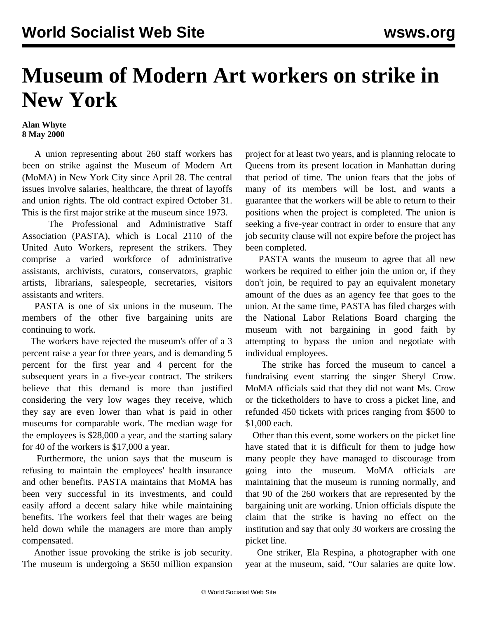## **Museum of Modern Art workers on strike in New York**

## **Alan Whyte 8 May 2000**

 A union representing about 260 staff workers has been on strike against the Museum of Modern Art (MoMA) in New York City since April 28. The central issues involve salaries, healthcare, the threat of layoffs and union rights. The old contract expired October 31. This is the first major strike at the museum since 1973.

 The Professional and Administrative Staff Association (PASTA), which is Local 2110 of the United Auto Workers, represent the strikers. They comprise a varied workforce of administrative assistants, archivists, curators, conservators, graphic artists, librarians, salespeople, secretaries, visitors assistants and writers.

 PASTA is one of six unions in the museum. The members of the other five bargaining units are continuing to work.

 The workers have rejected the museum's offer of a 3 percent raise a year for three years, and is demanding 5 percent for the first year and 4 percent for the subsequent years in a five-year contract. The strikers believe that this demand is more than justified considering the very low wages they receive, which they say are even lower than what is paid in other museums for comparable work. The median wage for the employees is \$28,000 a year, and the starting salary for 40 of the workers is \$17,000 a year.

 Furthermore, the union says that the museum is refusing to maintain the employees' health insurance and other benefits. PASTA maintains that MoMA has been very successful in its investments, and could easily afford a decent salary hike while maintaining benefits. The workers feel that their wages are being held down while the managers are more than amply compensated.

 Another issue provoking the strike is job security. The museum is undergoing a \$650 million expansion project for at least two years, and is planning relocate to Queens from its present location in Manhattan during that period of time. The union fears that the jobs of many of its members will be lost, and wants a guarantee that the workers will be able to return to their positions when the project is completed. The union is seeking a five-year contract in order to ensure that any job security clause will not expire before the project has been completed.

 PASTA wants the museum to agree that all new workers be required to either join the union or, if they don't join, be required to pay an equivalent monetary amount of the dues as an agency fee that goes to the union. At the same time, PASTA has filed charges with the National Labor Relations Board charging the museum with not bargaining in good faith by attempting to bypass the union and negotiate with individual employees.

 The strike has forced the museum to cancel a fundraising event starring the singer Sheryl Crow. MoMA officials said that they did not want Ms. Crow or the ticketholders to have to cross a picket line, and refunded 450 tickets with prices ranging from \$500 to \$1,000 each.

 Other than this event, some workers on the picket line have stated that it is difficult for them to judge how many people they have managed to discourage from going into the museum. MoMA officials are maintaining that the museum is running normally, and that 90 of the 260 workers that are represented by the bargaining unit are working. Union officials dispute the claim that the strike is having no effect on the institution and say that only 30 workers are crossing the picket line.

 One striker, Ela Respina, a photographer with one year at the museum, said, "Our salaries are quite low.